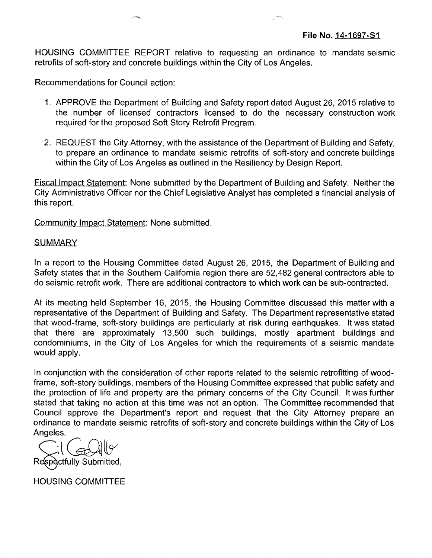HOUSING COMMITTEE REPORT relative to requesting an ordinance to mandate seismic retrofits of soft-story and concrete buildings within the City of Los Angeles.

Recommendations for Council action:

- 1. APPROVE the Department of Building and Safety report dated August 26, 2015 relative to the number of licensed contractors licensed to do the necessary construction work required for the proposed Soft Story Retrofit Program.
- 2. REQUEST the City Attorney, with the assistance of the Department of Building and Safety, to prepare an ordinance to mandate seismic retrofits of soft-story and concrete buildings within the City of Los Angeles as outlined in the Resiliency by Design Report.

Fiscal Impact Statement: None submitted by the Department of Building and Safety. Neither the City Administrative Officer nor the Chief Legislative Analyst has completed a financial analysis of this report.

Community Impact Statement: None submitted.

## **SUMMARY**

In a report to the Housing Committee dated August 26, 2015, the Department of Building and Safety states that in the Southern California region there are 52,482 general contractors able to do seismic retrofit work. There are additional contractors to which work can be sub-contracted.

At its meeting held September 16, 2015, the Housing Committee discussed this matter with a representative of the Department of Building and Safety. The Department representative stated that wood-frame, soft-story buildings are particularly at risk during earthquakes. It was stated that there are approximately 13,500 such buildings, mostly apartment buildings and condominiums, in the City of Los Angeles for which the requirements of a seismic mandate would apply.

In conjunction with the consideration of other reports related to the seismic retrofitting of woodframe, soft-story buildings, members of the Housing Committee expressed that public safety and the protection of life and property are the primary concerns of the City Council. It was further stated that taking no action at this time was not an option. The Committee recommended that Council approve the Department's report and request that the City Attorney prepare an ordinance to mandate seismic retrofits of soft-story and concrete buildings within the City of Los Angeles.

ctfully Submitted

HOUSING COMMITTEE